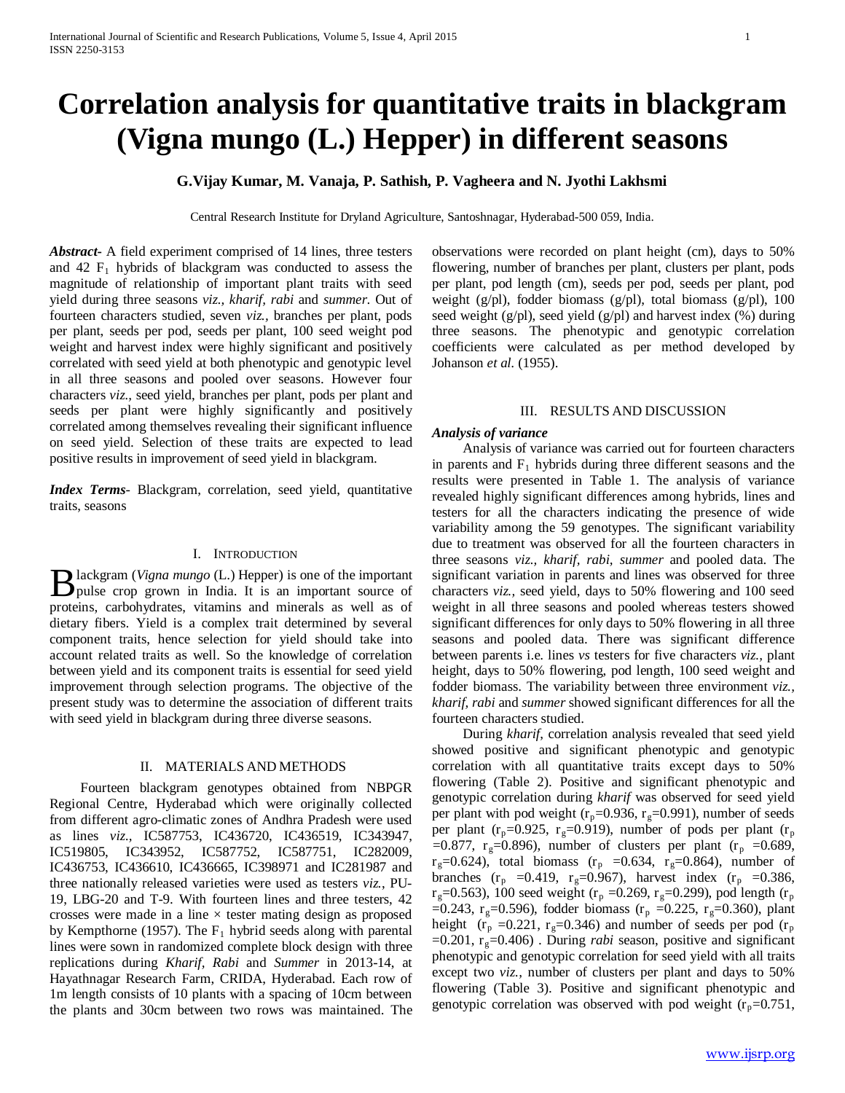# **Correlation analysis for quantitative traits in blackgram (Vigna mungo (L.) Hepper) in different seasons**

### **G.Vijay Kumar, M. Vanaja, P. Sathish, P. Vagheera and N. Jyothi Lakhsmi**

Central Research Institute for Dryland Agriculture, Santoshnagar, Hyderabad-500 059, India.

*Abstract***-** A field experiment comprised of 14 lines, three testers and 42  $F_1$  hybrids of blackgram was conducted to assess the magnitude of relationship of important plant traits with seed yield during three seasons *viz., kharif, rabi* and *summer*. Out of fourteen characters studied, seven *viz.,* branches per plant, pods per plant, seeds per pod, seeds per plant, 100 seed weight pod weight and harvest index were highly significant and positively correlated with seed yield at both phenotypic and genotypic level in all three seasons and pooled over seasons. However four characters *viz.,* seed yield, branches per plant, pods per plant and seeds per plant were highly significantly and positively correlated among themselves revealing their significant influence on seed yield. Selection of these traits are expected to lead positive results in improvement of seed yield in blackgram.

*Index Terms*- Blackgram, correlation, seed yield, quantitative traits, seasons

#### I. INTRODUCTION

lackgram (*Vigna mungo* (L.) Hepper) is one of the important Blackgram (Vigna mungo (L.) Hepper) is one of the important<br>pulse crop grown in India. It is an important source of proteins, carbohydrates, vitamins and minerals as well as of dietary fibers. Yield is a complex trait determined by several component traits, hence selection for yield should take into account related traits as well. So the knowledge of correlation between yield and its component traits is essential for seed yield improvement through selection programs. The objective of the present study was to determine the association of different traits with seed yield in blackgram during three diverse seasons.

#### II. MATERIALS AND METHODS

 Fourteen blackgram genotypes obtained from NBPGR Regional Centre, Hyderabad which were originally collected from different agro-climatic zones of Andhra Pradesh were used as lines *viz.,* IC587753, IC436720, IC436519, IC343947, IC519805, IC343952, IC587752, IC587751, IC282009, IC436753, IC436610, IC436665, IC398971 and IC281987 and three nationally released varieties were used as testers *viz.*, PU-19, LBG-20 and T-9. With fourteen lines and three testers, 42 crosses were made in a line  $\times$  tester mating design as proposed by Kempthorne (1957). The  $F_1$  hybrid seeds along with parental lines were sown in randomized complete block design with three replications during *Kharif, Rabi* and *Summer* in 2013-14, at Hayathnagar Research Farm, CRIDA, Hyderabad. Each row of 1m length consists of 10 plants with a spacing of 10cm between the plants and 30cm between two rows was maintained. The

observations were recorded on plant height (cm), days to 50% flowering, number of branches per plant, clusters per plant, pods per plant, pod length (cm), seeds per pod, seeds per plant, pod weight (g/pl), fodder biomass (g/pl), total biomass (g/pl), 100 seed weight  $(g/d)$ , seed yield  $(g/d)$  and harvest index  $(\%)$  during three seasons. The phenotypic and genotypic correlation coefficients were calculated as per method developed by Johanson *et al.* (1955).

#### III. RESULTS AND DISCUSSION

#### *Analysis of variance*

 Analysis of variance was carried out for fourteen characters in parents and  $F_1$  hybrids during three different seasons and the results were presented in Table 1. The analysis of variance revealed highly significant differences among hybrids, lines and testers for all the characters indicating the presence of wide variability among the 59 genotypes. The significant variability due to treatment was observed for all the fourteen characters in three seasons *viz., kharif, rabi, summer* and pooled data. The significant variation in parents and lines was observed for three characters *viz.,* seed yield, days to 50% flowering and 100 seed weight in all three seasons and pooled whereas testers showed significant differences for only days to 50% flowering in all three seasons and pooled data. There was significant difference between parents i.e. lines *vs* testers for five characters *viz.,* plant height, days to 50% flowering, pod length, 100 seed weight and fodder biomass. The variability between three environment *viz., kharif, rabi* and *summer* showed significant differences for all the fourteen characters studied.

 During *kharif*, correlation analysis revealed that seed yield showed positive and significant phenotypic and genotypic correlation with all quantitative traits except days to 50% flowering (Table 2). Positive and significant phenotypic and genotypic correlation during *kharif* was observed for seed yield per plant with pod weight  $(r_p=0.936, r_g=0.991)$ , number of seeds per plant ( $r_p$ =0.925,  $r_g$ =0.919), number of pods per plant ( $r_p$ ) =0.877,  $r_g$ =0.896), number of clusters per plant ( $r_p$  =0.689,  $r<sub>g</sub>=0.624$ ), total biomass ( $r<sub>p</sub> =0.634$ ,  $r<sub>g</sub>=0.864$ ), number of branches ( $r_p = 0.419$ ,  $r_g=0.967$ ), harvest index ( $r_p = 0.386$ ,  $r_{\rm g}=0.563$ ), 100 seed weight ( $r_{\rm p}=0.269$ ,  $r_{\rm g}=0.299$ ), pod length ( $r_{\rm p}$ ) =0.243,  $r_g$ =0.596), fodder biomass ( $r_p$  =0.225,  $r_g$ =0.360), plant height ( $r_p = 0.221$ ,  $r_g = 0.346$ ) and number of seeds per pod ( $r_p$ )  $=0.201$ ,  $r<sub>g</sub>=0.406$ ). During *rabi* season, positive and significant phenotypic and genotypic correlation for seed yield with all traits except two *viz.,* number of clusters per plant and days to 50% flowering (Table 3). Positive and significant phenotypic and genotypic correlation was observed with pod weight  $(r_p=0.751,$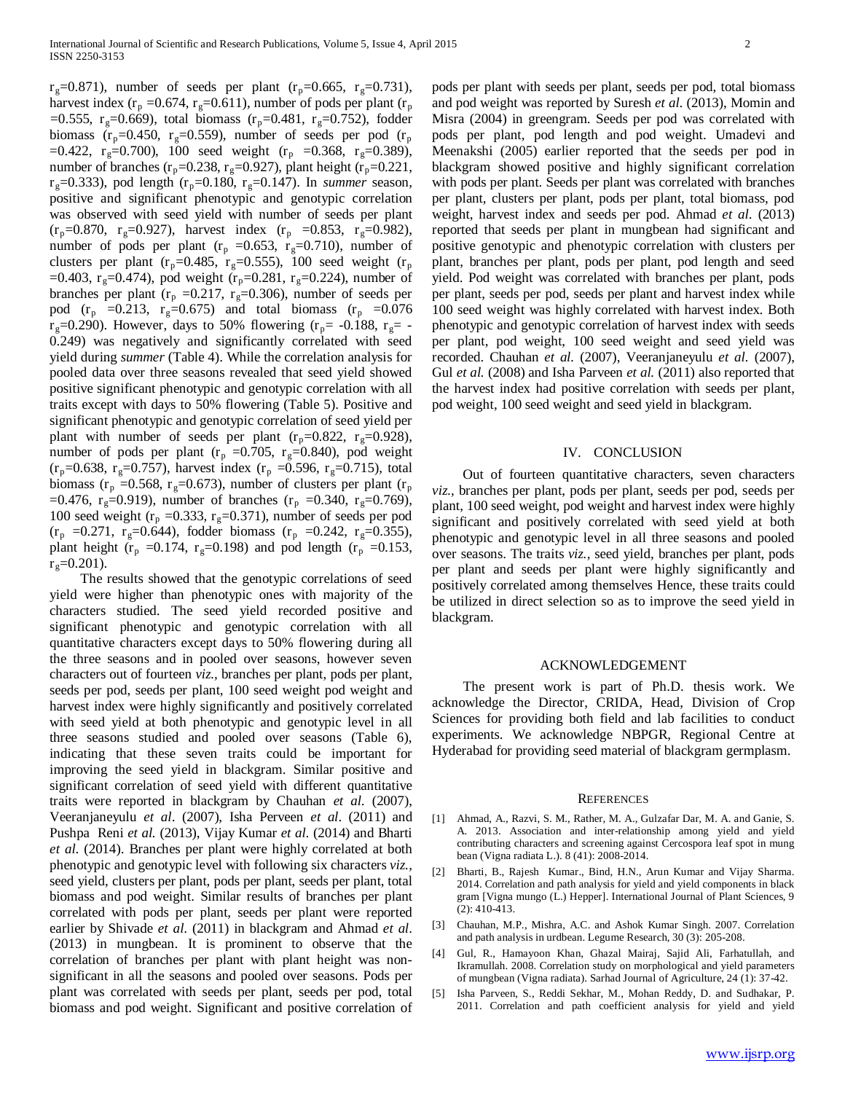$r_{\rm g}=0.871$ ), number of seeds per plant ( $r_{\rm p}=0.665$ ,  $r_{\rm g}=0.731$ ), harvest index ( $r_p = 0.674$ ,  $r_g = 0.611$ ), number of pods per plant ( $r_p$ ) =0.555,  $r_g$ =0.669), total biomass ( $r_p$ =0.481,  $r_g$ =0.752), fodder biomass ( $r_p$ =0.450,  $r_g$ =0.559), number of seeds per pod ( $r_p$ =0.422,  $r_g$ =0.700), 100 seed weight ( $r_p$  =0.368,  $r_g$ =0.389), number of branches ( $r_p$ =0.238,  $r_g$ =0.927), plant height ( $r_p$ =0.221,  $r<sub>g</sub>=0.333$ ), pod length ( $r<sub>p</sub>=0.180$ ,  $r<sub>g</sub>=0.147$ ). In *summer* season, positive and significant phenotypic and genotypic correlation was observed with seed yield with number of seeds per plant  $(r_p=0.870, r_g=0.927)$ , harvest index  $(r_p = 0.853, r_g=0.982)$ , number of pods per plant ( $r_p = 0.653$ ,  $r_g = 0.710$ ), number of clusters per plant ( $r_p$ =0.485,  $r_g$ =0.555), 100 seed weight ( $r_p$ =0.403, r<sub>g</sub>=0.474), pod weight (r<sub>p</sub>=0.281, r<sub>g</sub>=0.224), number of branches per plant ( $r_p = 0.217$ ,  $r_g = 0.306$ ), number of seeds per pod  $(r_p = 0.213, r_g = 0.675)$  and total biomass  $(r_p = 0.076)$  $r_g=0.290$ ). However, days to 50% flowering ( $r_p=$  -0.188,  $r_g=$  -0.249) was negatively and significantly correlated with seed yield during *summer* (Table 4). While the correlation analysis for pooled data over three seasons revealed that seed yield showed positive significant phenotypic and genotypic correlation with all traits except with days to 50% flowering (Table 5). Positive and significant phenotypic and genotypic correlation of seed yield per plant with number of seeds per plant  $(r_p=0.822, r_g=0.928)$ , number of pods per plant ( $r_p = 0.705$ ,  $r_g = 0.840$ ), pod weight  $(r_p=0.638, r_g=0.757)$ , harvest index  $(r_p = 0.596, r_g=0.715)$ , total biomass ( $r_p = 0.568$ ,  $r_g = 0.673$ ), number of clusters per plant ( $r_p$ ) =0.476, r<sub>g</sub>=0.919), number of branches (r<sub>p</sub> =0.340, r<sub>g</sub>=0.769), 100 seed weight ( $r_p = 0.333$ ,  $r_g = 0.371$ ), number of seeds per pod  $(r_p = 0.271, r_g = 0.644)$ , fodder biomass  $(r_p = 0.242, r_g = 0.355)$ , plant height ( $r_p = 0.174$ ,  $r_g = 0.198$ ) and pod length ( $r_p = 0.153$ ,  $r<sub>g</sub>=0.201$ ).

 The results showed that the genotypic correlations of seed yield were higher than phenotypic ones with majority of the characters studied. The seed yield recorded positive and significant phenotypic and genotypic correlation with all quantitative characters except days to 50% flowering during all the three seasons and in pooled over seasons, however seven characters out of fourteen *viz.,* branches per plant, pods per plant, seeds per pod, seeds per plant, 100 seed weight pod weight and harvest index were highly significantly and positively correlated with seed yield at both phenotypic and genotypic level in all three seasons studied and pooled over seasons (Table 6), indicating that these seven traits could be important for improving the seed yield in blackgram. Similar positive and significant correlation of seed yield with different quantitative traits were reported in blackgram by Chauhan *et al*. (2007), Veeranjaneyulu *et al*. (2007), Isha Perveen *et al*. (2011) and Pushpa Reni *et al.* (2013), Vijay Kumar *et al*. (2014) and Bharti *et al*. (2014). Branches per plant were highly correlated at both phenotypic and genotypic level with following six characters *viz.,* seed yield, clusters per plant, pods per plant, seeds per plant, total biomass and pod weight. Similar results of branches per plant correlated with pods per plant, seeds per plant were reported earlier by Shivade *et al*. (2011) in blackgram and Ahmad *et al*. (2013) in mungbean. It is prominent to observe that the correlation of branches per plant with plant height was nonsignificant in all the seasons and pooled over seasons. Pods per plant was correlated with seeds per plant, seeds per pod, total biomass and pod weight. Significant and positive correlation of

pods per plant with seeds per plant, seeds per pod, total biomass and pod weight was reported by Suresh *et al*. (2013), Momin and Misra (2004) in greengram. Seeds per pod was correlated with pods per plant, pod length and pod weight. Umadevi and Meenakshi (2005) earlier reported that the seeds per pod in blackgram showed positive and highly significant correlation with pods per plant. Seeds per plant was correlated with branches per plant, clusters per plant, pods per plant, total biomass, pod weight, harvest index and seeds per pod. Ahmad *et al*. (2013) reported that seeds per plant in mungbean had significant and positive genotypic and phenotypic correlation with clusters per plant, branches per plant, pods per plant, pod length and seed yield. Pod weight was correlated with branches per plant, pods per plant, seeds per pod, seeds per plant and harvest index while 100 seed weight was highly correlated with harvest index. Both phenotypic and genotypic correlation of harvest index with seeds per plant, pod weight, 100 seed weight and seed yield was recorded. Chauhan *et al.* (2007), Veeranjaneyulu *et al.* (2007), Gul *et al.* (2008) and Isha Parveen *et al.* (2011) also reported that the harvest index had positive correlation with seeds per plant, pod weight, 100 seed weight and seed yield in blackgram.

#### IV. CONCLUSION

 Out of fourteen quantitative characters, seven characters *viz.,* branches per plant, pods per plant, seeds per pod, seeds per plant, 100 seed weight, pod weight and harvest index were highly significant and positively correlated with seed yield at both phenotypic and genotypic level in all three seasons and pooled over seasons. The traits *viz.,* seed yield, branches per plant, pods per plant and seeds per plant were highly significantly and positively correlated among themselves Hence, these traits could be utilized in direct selection so as to improve the seed yield in blackgram.

#### ACKNOWLEDGEMENT

 The present work is part of Ph.D. thesis work. We acknowledge the Director, CRIDA, Head, Division of Crop Sciences for providing both field and lab facilities to conduct experiments. We acknowledge NBPGR, Regional Centre at Hyderabad for providing seed material of blackgram germplasm.

#### **REFERENCES**

- [1] Ahmad, A., Razvi, S. M., Rather, M. A., Gulzafar Dar, M. A. and Ganie, S. A. 2013. Association and inter-relationship among yield and yield contributing characters and screening against Cercospora leaf spot in mung bean (Vigna radiata L.). 8 (41): 2008-2014.
- [2] Bharti, B., Rajesh Kumar., Bind, H.N., Arun Kumar and Vijay Sharma. 2014. Correlation and path analysis for yield and yield components in black gram [Vigna mungo (L.) Hepper]. International Journal of Plant Sciences, 9 (2): 410-413.
- [3] Chauhan, M.P., Mishra, A.C. and Ashok Kumar Singh. 2007. Correlation and path analysis in urdbean. Legume Research, 30 (3): 205-208.
- [4] Gul, R., Hamayoon Khan, Ghazal Mairaj, Sajid Ali, Farhatullah, and Ikramullah. 2008. Correlation study on morphological and yield parameters of mungbean (Vigna radiata). Sarhad Journal of Agriculture, 24 (1): 37-42.
- [5] Isha Parveen, S., Reddi Sekhar, M., Mohan Reddy, D. and Sudhakar, P. 2011. Correlation and path coefficient analysis for yield and yield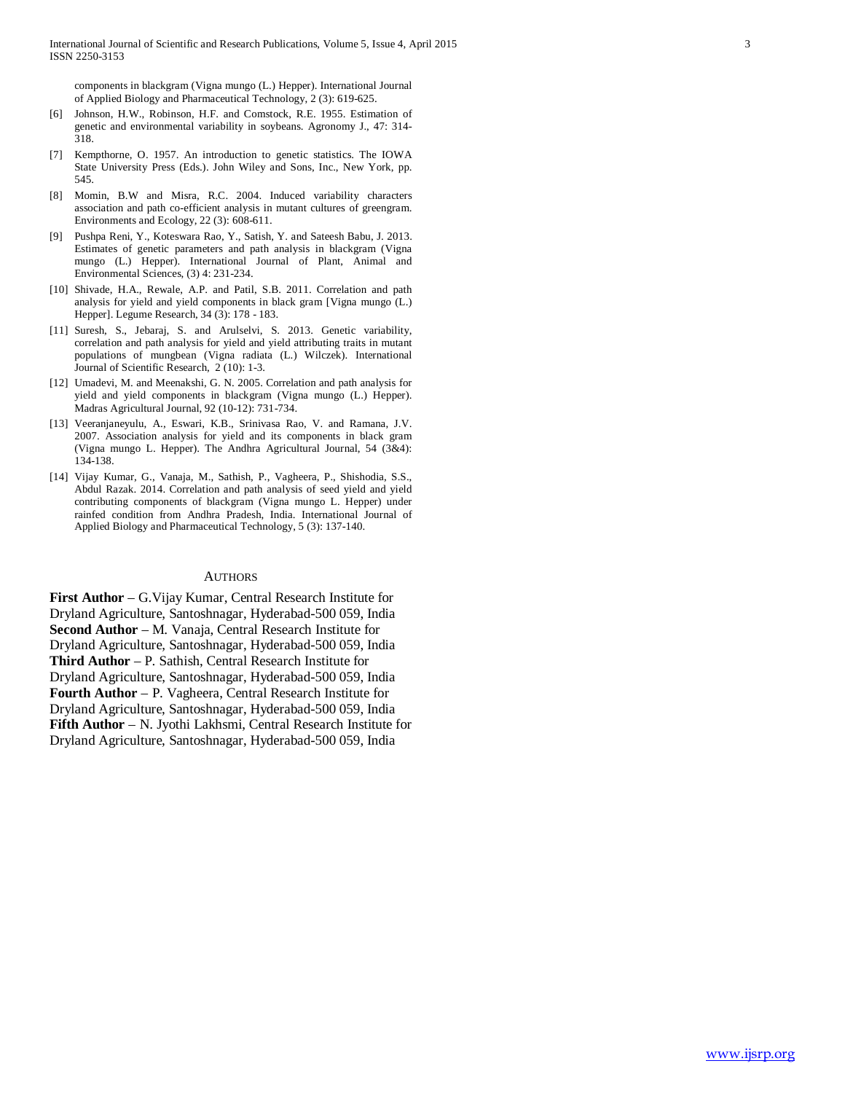components in blackgram (Vigna mungo (L.) Hepper). International Journal of Applied Biology and Pharmaceutical Technology, 2 (3): 619-625.

- [6] Johnson, H.W., Robinson, H.F. and Comstock, R.E. 1955. Estimation of genetic and environmental variability in soybeans. Agronomy J., 47: 314- 318.
- [7] Kempthorne, O. 1957. An introduction to genetic statistics. The IOWA State University Press (Eds.). John Wiley and Sons, Inc., New York, pp. 545.
- [8] Momin, B.W and Misra, R.C. 2004. Induced variability characters association and path co-efficient analysis in mutant cultures of greengram. Environments and Ecology, 22 (3): 608-611.
- [9] Pushpa Reni, Y., Koteswara Rao, Y., Satish, Y. and Sateesh Babu, J. 2013. Estimates of genetic parameters and path analysis in blackgram (Vigna mungo (L.) Hepper). International Journal of Plant, Animal and Environmental Sciences, (3) 4: 231-234.
- [10] Shivade, H.A., Rewale, A.P. and Patil, S.B. 2011. Correlation and path analysis for yield and yield components in black gram [Vigna mungo (L.) Hepper]. Legume Research, 34 (3): 178 - 183.
- [11] Suresh, S., Jebaraj, S. and Arulselvi, S. 2013. Genetic variability, correlation and path analysis for yield and yield attributing traits in mutant populations of mungbean (Vigna radiata (L.) Wilczek). International Journal of Scientific Research, 2 (10): 1-3.
- [12] Umadevi, M. and Meenakshi, G. N. 2005. Correlation and path analysis for yield and yield components in blackgram (Vigna mungo (L.) Hepper). Madras Agricultural Journal, 92 (10-12): 731-734.
- [13] Veeranjaneyulu, A., Eswari, K.B., Srinivasa Rao, V. and Ramana, J.V. 2007. Association analysis for yield and its components in black gram (Vigna mungo L. Hepper). The Andhra Agricultural Journal, 54 (3&4): 134-138.
- [14] Vijay Kumar, G., Vanaja, M., Sathish, P., Vagheera, P., Shishodia, S.S., Abdul Razak. 2014. Correlation and path analysis of seed yield and yield contributing components of blackgram (Vigna mungo L. Hepper) under rainfed condition from Andhra Pradesh, India. International Journal of Applied Biology and Pharmaceutical Technology, 5 (3): 137-140.

#### **AUTHORS**

**First Author** – G.Vijay Kumar, Central Research Institute for Dryland Agriculture, Santoshnagar, Hyderabad-500 059, India **Second Author** – M. Vanaja, Central Research Institute for Dryland Agriculture, Santoshnagar, Hyderabad-500 059, India **Third Author** – P. Sathish, Central Research Institute for Dryland Agriculture, Santoshnagar, Hyderabad-500 059, India **Fourth Author** – P. Vagheera, Central Research Institute for Dryland Agriculture, Santoshnagar, Hyderabad-500 059, India **Fifth Author** – N. Jyothi Lakhsmi, Central Research Institute for Dryland Agriculture, Santoshnagar, Hyderabad-500 059, India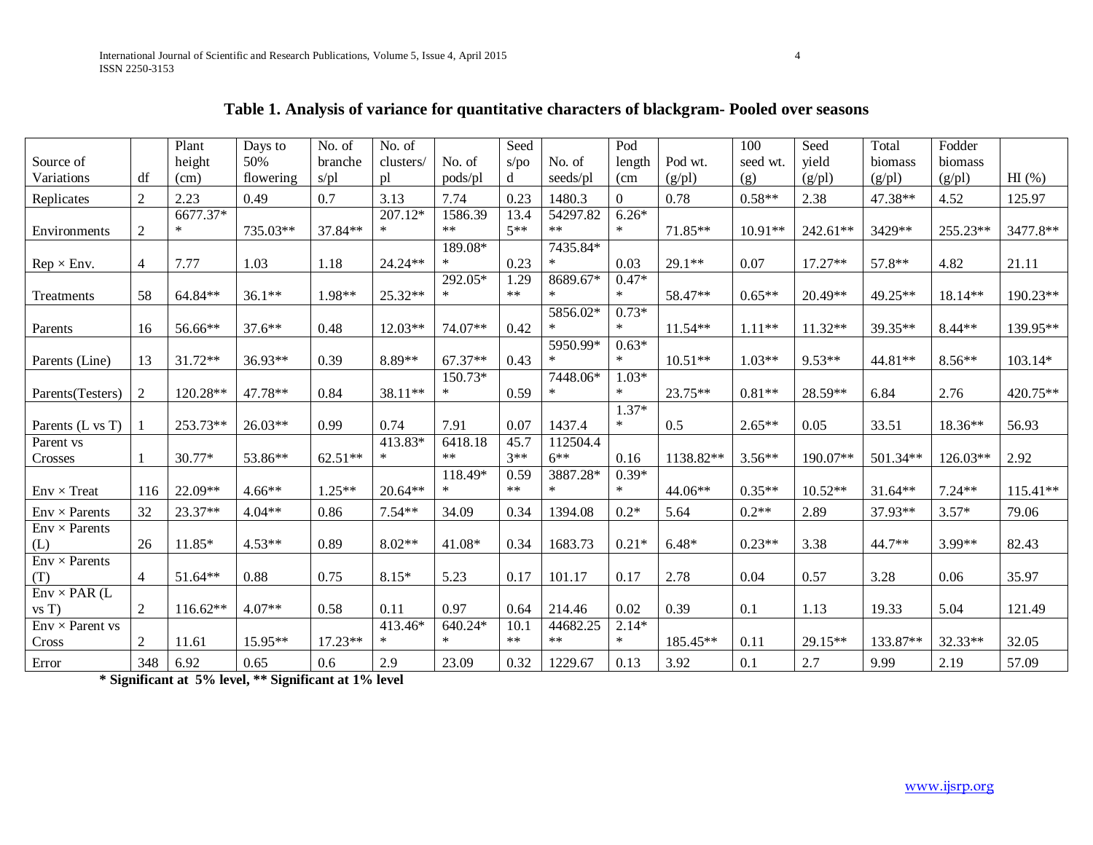|                                  |                | Plant      | Days to   | No. of    | No. of    |           | Seed  |          | Pod               |                   | 100       | Seed              | Total             | Fodder            |          |
|----------------------------------|----------------|------------|-----------|-----------|-----------|-----------|-------|----------|-------------------|-------------------|-----------|-------------------|-------------------|-------------------|----------|
| Source of                        |                | height     | 50%       | branche   | clusters/ | No. of    | s/po  | No. of   | length            | Pod wt.           | seed wt.  | yield             | biomass           | biomass           |          |
| Variations                       | df             | (cm)       | flowering | $s$ /pl   | pl        | pods/pl   | d     | seeds/pl | (c <sub>m</sub> ) | (g <sub>p</sub> ] | (g)       | (g <sub>p</sub> ] | (g <sub>p</sub> ] | (g <sub>p</sub> ] | HI(%)    |
| Replicates                       | $\overline{2}$ | 2.23       | 0.49      | 0.7       | 3.13      | 7.74      | 0.23  | 1480.3   | $\Omega$          | 0.78              | $0.58**$  | 2.38              | 47.38**           | 4.52              | 125.97   |
|                                  |                | 6677.37*   |           |           | $207.12*$ | 1586.39   | 13.4  | 54297.82 | $6.26*$           |                   |           |                   |                   |                   |          |
| Environments                     | $\mathfrak{2}$ | $\ast$     | 735.03**  | 37.84**   | $\ast$    | $***$     | $5**$ | $***$    | $\ast$            | 71.85**           | $10.91**$ | 242.61**          | 3429**            | 255.23**          | 3477.8** |
|                                  |                |            |           |           |           | 189.08*   |       | 7435.84* |                   |                   |           |                   |                   |                   |          |
| $\text{Rep} \times \text{Env}$ . | 4              | 7.77       | 1.03      | 1.18      | 24.24**   | $\ast$    | 0.23  | $\ast$   | 0.03              | 29.1**            | 0.07      | 17.27**           | 57.8**            | 4.82              | 21.11    |
|                                  |                |            |           |           |           | 292.05*   | 1.29  | 8689.67* | $0.47*$           |                   |           |                   |                   |                   |          |
| Treatments                       | 58             | 64.84**    | $36.1**$  | 1.98**    | $25.32**$ | $\ast$    | $***$ | *        | $\ast$            | 58.47**           | $0.65**$  | $20.49**$         | 49.25**           | $18.14**$         | 190.23** |
|                                  |                |            |           |           |           |           |       | 5856.02* | $0.73*$           |                   |           |                   |                   |                   |          |
| Parents                          | 16             | 56.66**    | $37.6**$  | 0.48      | $12.03**$ | 74.07**   | 0.42  | $\ast$   | $\ast$            | $11.54**$         | $1.11**$  | $11.32**$         | 39.35**           | $8.44**$          | 139.95** |
|                                  |                |            |           |           |           |           |       | 5950.99* | $0.63*$           |                   |           |                   |                   |                   |          |
| Parents (Line)                   | 13             | $31.72**$  | 36.93**   | 0.39      | 8.89**    | $67.37**$ | 0.43  |          | $\ast$            | $10.51**$         | $1.03**$  | $9.53**$          | 44.81**           | $8.56**$          | 103.14*  |
|                                  |                |            |           |           |           | 150.73*   |       | 7448.06* | $1.03*$           |                   |           |                   |                   |                   |          |
| Parents (Testers)                | $\overline{2}$ | 120.28**   | 47.78**   | 0.84      | 38.11**   | $\ast$    | 0.59  | $\ast$   | $\ast$            | 23.75**           | $0.81**$  | 28.59**           | 6.84              | 2.76              | 420.75** |
|                                  |                |            |           |           |           |           |       |          | $1.37*$           |                   |           |                   |                   |                   |          |
| Parents (L vs T)                 |                | 253.73**   | $26.03**$ | 0.99      | 0.74      | 7.91      | 0.07  | 1437.4   | $\ast$            | 0.5               | $2.65**$  | 0.05              | 33.51             | 18.36**           | 56.93    |
| Parent vs                        |                |            |           |           | 413.83*   | 6418.18   | 45.7  | 112504.4 |                   |                   |           |                   |                   |                   |          |
| Crosses                          |                | $30.77*$   | 53.86**   | $62.51**$ | $\ast$    | $***$     | $3**$ | $6***$   | 0.16              | 1138.82**         | $3.56**$  | 190.07**          | 501.34**          | $126.03**$        | 2.92     |
|                                  |                |            |           |           |           | 118.49*   | 0.59  | 3887.28* | $0.39*$           |                   |           |                   |                   |                   |          |
| $Env \times Treat$               | 116            | 22.09**    | $4.66**$  | $1.25**$  | $20.64**$ | $\ast$    | $***$ | $*$      | $\ast$            | $44.06**$         | $0.35**$  | $10.52**$         | $31.64**$         | $7.24**$          | 115.41** |
| $Env \times Parents$             | 32             | 23.37**    | $4.04**$  | 0.86      | $7.54**$  | 34.09     | 0.34  | 1394.08  | $0.2*$            | 5.64              | $0.2**$   | 2.89              | 37.93**           | $3.57*$           | 79.06    |
| $Env \times Parents$             |                |            |           |           |           |           |       |          |                   |                   |           |                   |                   |                   |          |
| (L)                              | 26             | 11.85*     | $4.53**$  | 0.89      | $8.02**$  | 41.08*    | 0.34  | 1683.73  | $0.21*$           | $6.48*$           | $0.23**$  | 3.38              | 44.7**            | 3.99**            | 82.43    |
| $Env \times Parents$             |                |            |           |           |           |           |       |          |                   |                   |           |                   |                   |                   |          |
| (T)                              | $\overline{4}$ | 51.64**    | 0.88      | 0.75      | $8.15*$   | 5.23      | 0.17  | 101.17   | 0.17              | 2.78              | 0.04      | 0.57              | 3.28              | 0.06              | 35.97    |
| $Env \times PAR$ (L              |                |            |           |           |           |           |       |          |                   |                   |           |                   |                   |                   |          |
| vsT)                             | $\mathfrak{2}$ | $116.62**$ | 4.07**    | 0.58      | 0.11      | 0.97      | 0.64  | 214.46   | 0.02              | 0.39              | 0.1       | 1.13              | 19.33             | 5.04              | 121.49   |
| $Env \times Parent vs$           |                |            |           |           | 413.46*   | 640.24*   | 10.1  | 44682.25 | $2.14*$           |                   |           |                   |                   |                   |          |
| Cross                            | $\overline{2}$ | 11.61      | 15.95**   | $17.23**$ | $\ast$    | $\ast$    | $***$ | $***$    | $\ast$            | 185.45**          | 0.11      | $29.15**$         | 133.87**          | 32.33**           | 32.05    |
| Error                            | 348            | 6.92       | 0.65      | 0.6       | 2.9       | 23.09     | 0.32  | 1229.67  | 0.13              | 3.92              | 0.1       | 2.7               | 9.99              | 2.19              | 57.09    |

## **Table 1. Analysis of variance for quantitative characters of blackgram- Pooled over seasons**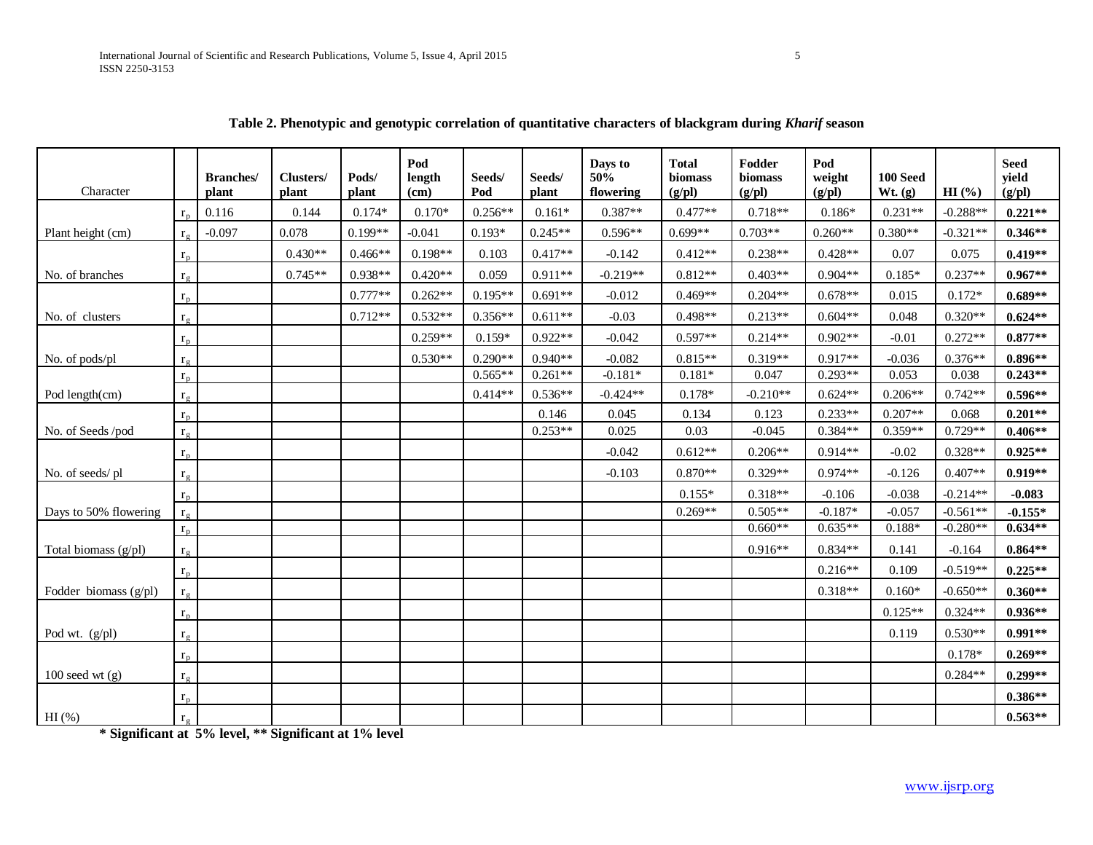| Character               |              | <b>Branches</b> /<br>plant | Clusters/<br>plant | Pods/<br>plant | Pod<br>length<br>(cm) | Seeds/<br>Pod | Seeds/<br>plant | Days to<br>50%<br>flowering | <b>Total</b><br>biomass<br>(g/d) | Fodder<br>biomass<br>(g/pl) | Pod<br>weight<br>(g/pl) | 100 Seed<br>Wt. (g) | HI(%)      | <b>Seed</b><br>yield<br>(g/pl) |
|-------------------------|--------------|----------------------------|--------------------|----------------|-----------------------|---------------|-----------------|-----------------------------|----------------------------------|-----------------------------|-------------------------|---------------------|------------|--------------------------------|
|                         | $r_{r}$      | 0.116                      | 0.144              | $0.174*$       | $0.170*$              | $0.256**$     | $0.161*$        | $0.387**$                   | $0.477**$                        | $0.718**$                   | $0.186*$                | $0.231**$           | $-0.288**$ | $0.221**$                      |
| Plant height (cm)       | $r_{c}$      | $-0.097$                   | 0.078              | $0.199**$      | $-0.041$              | $0.193*$      | $0.245**$       | $0.596**$                   | $0.699**$                        | $0.703**$                   | $0.260**$               | $0.380**$           | $-0.321**$ | $0.346**$                      |
|                         | $r_{\rm p}$  |                            | $0.430**$          | $0.466**$      | $0.198**$             | 0.103         | $0.417**$       | $-0.142$                    | $0.412**$                        | $0.238**$                   | $0.428**$               | 0.07                | 0.075      | $0.419**$                      |
| No. of branches         | $r_g$        |                            | $0.745**$          | $0.938**$      | $0.420**$             | 0.059         | $0.911**$       | $-0.219**$                  | $0.812**$                        | $0.403**$                   | $0.904**$               | $0.185*$            | $0.237**$  | $0.967**$                      |
|                         | $r_{\rm n}$  |                            |                    | $0.777**$      | $0.262**$             | $0.195**$     | $0.691**$       | $-0.012$                    | $0.469**$                        | $0.204**$                   | $0.678**$               | 0.015               | $0.172*$   | $0.689**$                      |
| No. of clusters         | $r_{\sigma}$ |                            |                    | $0.712**$      | $0.532**$             | $0.356**$     | $0.611**$       | $-0.03$                     | $0.498**$                        | $0.213**$                   | $0.604**$               | 0.048               | $0.320**$  | $0.624**$                      |
|                         | $r_p$        |                            |                    |                | $0.259**$             | $0.159*$      | $0.922**$       | $-0.042$                    | $0.597**$                        | $0.214**$                   | $0.902**$               | $-0.01$             | $0.272**$  | $0.877**$                      |
| No. of pods/pl          | $r_{\sigma}$ |                            |                    |                | $0.530**$             | $0.290**$     | $0.940**$       | $-0.082$                    | $0.815**$                        | $0.319**$                   | $0.917**$               | $-0.036$            | $0.376**$  | $0.896**$                      |
|                         | $r_{p}$      |                            |                    |                |                       | $0.565**$     | $0.261**$       | $-0.181*$                   | $0.181*$                         | 0.047                       | $0.293**$               | 0.053               | 0.038      | $0.243**$                      |
| Pod length(cm)          | $r_{\sigma}$ |                            |                    |                |                       | $0.414**$     | $0.536**$       | $-0.424**$                  | $0.178*$                         | $-0.210**$                  | $0.624**$               | $0.206**$           | $0.742**$  | $0.596**$                      |
|                         | $r_p$        |                            |                    |                |                       |               | 0.146           | 0.045                       | 0.134                            | 0.123                       | $0.233**$               | $0.207**$           | 0.068      | $0.201**$                      |
| No. of Seeds /pod       | $r_g$        |                            |                    |                |                       |               | $0.253**$       | 0.025                       | 0.03                             | $-0.045$                    | $0.384**$               | $0.359**$           | $0.729**$  | $0.406**$                      |
|                         | $r_{\rm p}$  |                            |                    |                |                       |               |                 | $-0.042$                    | $0.612**$                        | $0.206**$                   | $0.914**$               | $-0.02$             | $0.328**$  | $0.925**$                      |
| No. of seeds/pl         | $r_{\sigma}$ |                            |                    |                |                       |               |                 | $-0.103$                    | $0.870**$                        | $0.329**$                   | $0.974**$               | $-0.126$            | $0.407**$  | $0.919**$                      |
|                         | $r_p$        |                            |                    |                |                       |               |                 |                             | $0.155*$                         | $0.318**$                   | $-0.106$                | $-0.038$            | $-0.214**$ | $-0.083$                       |
| Days to 50% flowering   | $r_{\rm g}$  |                            |                    |                |                       |               |                 |                             | $0.269**$                        | $0.505**$                   | $-0.187*$               | $-0.057$            | $-0.561**$ | $-0.155*$                      |
|                         | $r_p$        |                            |                    |                |                       |               |                 |                             |                                  | $0.660**$                   | $0.635**$               | $0.188*$            | $-0.280**$ | $0.634**$                      |
| Total biomass (g/pl)    | $r_{\rm g}$  |                            |                    |                |                       |               |                 |                             |                                  | $0.916**$                   | $0.834**$               | 0.141               | $-0.164$   | $0.864**$                      |
|                         | $r_{p}$      |                            |                    |                |                       |               |                 |                             |                                  |                             | $0.216**$               | 0.109               | $-0.519**$ | $0.225**$                      |
| Fodder biomass $(g/d)$  | $r_{\circ}$  |                            |                    |                |                       |               |                 |                             |                                  |                             | $0.318**$               | $0.160*$            | $-0.650**$ | $0.360**$                      |
|                         | $r_p$        |                            |                    |                |                       |               |                 |                             |                                  |                             |                         | $0.125**$           | $0.324**$  | $0.936**$                      |
| Pod wt. $(g/\text{pl})$ | $r_g$        |                            |                    |                |                       |               |                 |                             |                                  |                             |                         | 0.119               | $0.530**$  | $0.991**$                      |
|                         | $r_{\rm n}$  |                            |                    |                |                       |               |                 |                             |                                  |                             |                         |                     | $0.178*$   | $0.269**$                      |
| $100$ seed wt $(g)$     | $r_{\circ}$  |                            |                    |                |                       |               |                 |                             |                                  |                             |                         |                     | $0.284**$  | $0.299**$                      |
|                         | $r_p$        |                            |                    |                |                       |               |                 |                             |                                  |                             |                         |                     |            | $0.386**$                      |
| $HI$ (%)                | $r_{\sigma}$ |                            |                    |                |                       |               |                 |                             |                                  |                             |                         |                     |            | $0.563**$                      |
|                         |              |                            |                    |                |                       |               |                 |                             |                                  |                             |                         |                     |            |                                |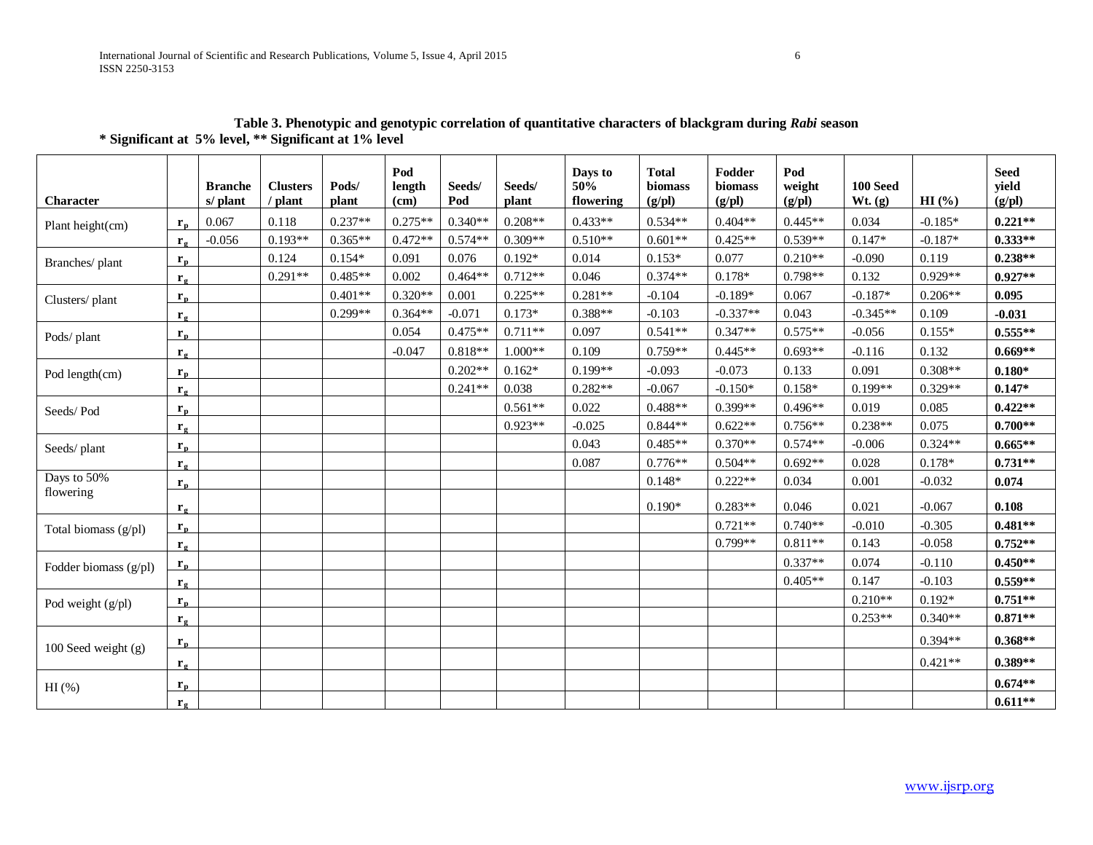| <b>Character</b>        |                       | <b>Branche</b><br>s/ plant | <b>Clusters</b><br>/ plant | Pods/<br>plant | Pod<br>length<br>(cm) | Seeds/<br>Pod | Seeds/<br>plant | Days to<br>50%<br>flowering | <b>Total</b><br>biomass<br>(g/pl) | Fodder<br>biomass<br>(g/pl) | Pod<br>weight<br>(g/pl) | <b>100 Seed</b><br>Wt. (g) | HI(%)     | <b>Seed</b><br>yield<br>(g/pl) |
|-------------------------|-----------------------|----------------------------|----------------------------|----------------|-----------------------|---------------|-----------------|-----------------------------|-----------------------------------|-----------------------------|-------------------------|----------------------------|-----------|--------------------------------|
| Plant height(cm)        | $r_{n}$               | 0.067                      | 0.118                      | $0.237**$      | $0.275**$             | $0.340**$     | $0.208**$       | $0.433**$                   | $0.534**$                         | $0.404**$                   | $0.445**$               | 0.034                      | $-0.185*$ | $0.221**$                      |
|                         | $r_{\alpha}$          | $-0.056$                   | $0.193**$                  | $0.365**$      | $0.472**$             | $0.574**$     | $0.309**$       | $0.510**$                   | $0.601**$                         | $0.425**$                   | $0.539**$               | $0.147*$                   | $-0.187*$ | $0.333**$                      |
| Branches/plant          | $r_{p}$               |                            | 0.124                      | $0.154*$       | 0.091                 | 0.076         | $0.192*$        | 0.014                       | $0.153*$                          | 0.077                       | $0.210**$               | $-0.090$                   | 0.119     | $0.238**$                      |
|                         | $r_{\sigma}$          |                            | $0.291**$                  | $0.485**$      | 0.002                 | $0.464**$     | $0.712**$       | 0.046                       | $0.374**$                         | $0.178*$                    | $0.798**$               | 0.132                      | $0.929**$ | $0.927**$                      |
| Clusters/plant          | $r_{\rm p}$           |                            |                            | $0.401**$      | $0.320**$             | 0.001         | $0.225**$       | $0.281**$                   | $-0.104$                          | $-0.189*$                   | 0.067                   | $-0.187*$                  | $0.206**$ | 0.095                          |
|                         | $\mathbf{r}_{\alpha}$ |                            |                            | $0.299**$      | $0.364**$             | $-0.071$      | $0.173*$        | $0.388**$                   | $-0.103$                          | $-0.337**$                  | 0.043                   | $-0.345**$                 | 0.109     | $-0.031$                       |
| Pods/plant              | $r_{p}$               |                            |                            |                | 0.054                 | $0.475**$     | $0.711**$       | 0.097                       | $0.541**$                         | $0.347**$                   | $0.575**$               | $-0.056$                   | $0.155*$  | $0.555**$                      |
|                         | $\mathbf{r}_{g}$      |                            |                            |                | $-0.047$              | $0.818**$     | $1.000**$       | 0.109                       | $0.759**$                         | $0.445**$                   | $0.693**$               | $-0.116$                   | 0.132     | $0.669**$                      |
| Pod length(cm)          | $r_{p}$               |                            |                            |                |                       | $0.202**$     | $0.162*$        | $0.199**$                   | $-0.093$                          | $-0.073$                    | 0.133                   | 0.091                      | $0.308**$ | $0.180*$                       |
|                         | $r_{\circ}$           |                            |                            |                |                       | $0.241**$     | 0.038           | $0.282**$                   | $-0.067$                          | $-0.150*$                   | $0.158*$                | $0.199**$                  | $0.329**$ | $0.147*$                       |
| Seeds/Pod               | $r_{p}$               |                            |                            |                |                       |               | $0.561**$       | 0.022                       | $0.488**$                         | $0.399**$                   | $0.496**$               | 0.019                      | 0.085     | $0.422**$                      |
|                         | $r_{\sigma}$          |                            |                            |                |                       |               | $0.923**$       | $-0.025$                    | $0.844**$                         | $0.622**$                   | $0.756**$               | $0.238**$                  | 0.075     | $0.700**$                      |
| Seeds/plant             | $r_{p}$               |                            |                            |                |                       |               |                 | 0.043                       | $0.485**$                         | $0.370**$                   | $0.574**$               | $-0.006$                   | $0.324**$ | $0.665**$                      |
|                         | $\mathbf{r}_{\alpha}$ |                            |                            |                |                       |               |                 | 0.087                       | $0.776**$                         | $0.504**$                   | $0.692**$               | 0.028                      | $0.178*$  | $0.731**$                      |
| Days to 50%             | $r_{p}$               |                            |                            |                |                       |               |                 |                             | $0.148*$                          | $0.222**$                   | 0.034                   | 0.001                      | $-0.032$  | 0.074                          |
| flowering               | $\mathbf{r}_{\alpha}$ |                            |                            |                |                       |               |                 |                             | $0.190*$                          | $0.283**$                   | 0.046                   | 0.021                      | $-0.067$  | 0.108                          |
| Total biomass $(g/pl)$  | $r_{\rm p}$           |                            |                            |                |                       |               |                 |                             |                                   | $0.721**$                   | $0.740**$               | $-0.010$                   | $-0.305$  | $0.481**$                      |
|                         | $r_{\sigma}$          |                            |                            |                |                       |               |                 |                             |                                   | $0.799**$                   | $0.811**$               | 0.143                      | $-0.058$  | $0.752**$                      |
| Fodder biomass $(g/pl)$ | $r_{\rm p}$           |                            |                            |                |                       |               |                 |                             |                                   |                             | $0.337**$               | 0.074                      | $-0.110$  | $0.450**$                      |
|                         | $\mathbf{r}_{\alpha}$ |                            |                            |                |                       |               |                 |                             |                                   |                             | $0.405**$               | 0.147                      | $-0.103$  | $0.559**$                      |
| Pod weight (g/pl)       | $r_{\rm n}$           |                            |                            |                |                       |               |                 |                             |                                   |                             |                         | $0.210**$                  | $0.192*$  | $0.751**$                      |
|                         | $\mathbf{r}_{\sigma}$ |                            |                            |                |                       |               |                 |                             |                                   |                             |                         | $0.253**$                  | $0.340**$ | $0.871**$                      |
| 100 Seed weight (g)     | $r_{\rm n}$           |                            |                            |                |                       |               |                 |                             |                                   |                             |                         |                            | $0.394**$ | $0.368**$                      |
|                         | $r_{\sigma}$          |                            |                            |                |                       |               |                 |                             |                                   |                             |                         |                            | $0.421**$ | $0.389**$                      |
| HI(%)                   | $r_{p}$               |                            |                            |                |                       |               |                 |                             |                                   |                             |                         |                            |           | $0.674**$                      |
|                         | $\mathbf{r}_{\alpha}$ |                            |                            |                |                       |               |                 |                             |                                   |                             |                         |                            |           | $0.611**$                      |

**Table 3. Phenotypic and genotypic correlation of quantitative characters of blackgram during** *Rabi* **season \* Significant at 5% level, \*\* Significant at 1% level**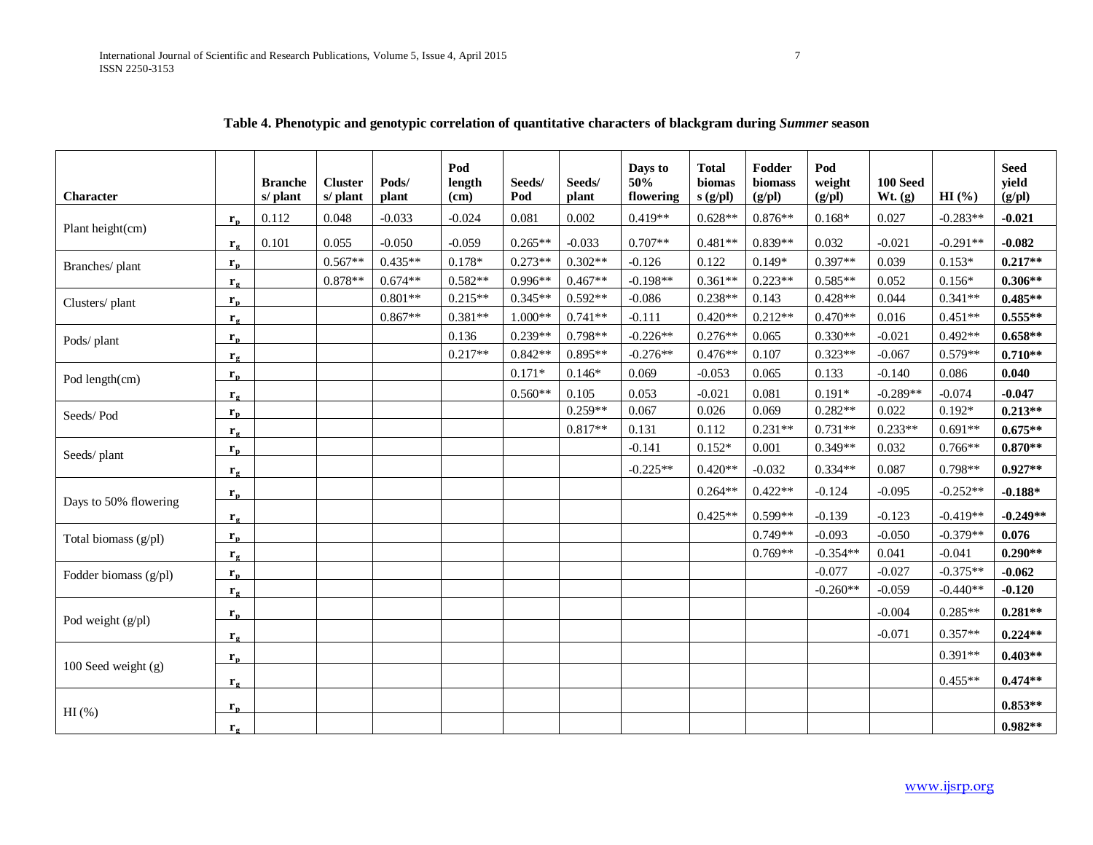|                        |                       |                            |                            |                | Pod            |               |                 | Days to          | <b>Total</b>     | Fodder            | Pod              |                     |            | <b>Seed</b>     |
|------------------------|-----------------------|----------------------------|----------------------------|----------------|----------------|---------------|-----------------|------------------|------------------|-------------------|------------------|---------------------|------------|-----------------|
| <b>Character</b>       |                       | <b>Branche</b><br>s/ plant | <b>Cluster</b><br>s/ plant | Pods/<br>plant | length<br>(cm) | Seeds/<br>Pod | Seeds/<br>plant | 50%<br>flowering | biomas<br>s(gpl) | biomass<br>(g/pl) | weight<br>(g/pl) | 100 Seed<br>Wt. (g) | HI(%)      | yield<br>(g/pl) |
|                        | $r_{p}$               | 0.112                      | 0.048                      | $-0.033$       | $-0.024$       | 0.081         | 0.002           | $0.419**$        | $0.628**$        | $0.876**$         | $0.168*$         | 0.027               | $-0.283**$ | $-0.021$        |
| Plant height(cm)       | $\mathbf{r}_{\alpha}$ | 0.101                      | 0.055                      | $-0.050$       | $-0.059$       | $0.265**$     | $-0.033$        | $0.707**$        | $0.481**$        | $0.839**$         | 0.032            | $-0.021$            | $-0.291**$ | $-0.082$        |
| Branches/ plant        | $r_{p}$               |                            | $0.567**$                  | $0.435**$      | $0.178*$       | $0.273**$     | $0.302**$       | $-0.126$         | 0.122            | $0.149*$          | $0.397**$        | 0.039               | $0.153*$   | $0.217**$       |
|                        | $\mathbf{r}_{\alpha}$ |                            | $0.878**$                  | $0.674**$      | $0.582**$      | $0.996**$     | $0.467**$       | $-0.198**$       | $0.361**$        | $0.223**$         | $0.585**$        | 0.052               | $0.156*$   | $0.306**$       |
| Clusters/plant         | $r_{p}$               |                            |                            | $0.801**$      | $0.215**$      | $0.345**$     | $0.592**$       | $-0.086$         | $0.238**$        | 0.143             | $0.428**$        | 0.044               | $0.341**$  | $0.485**$       |
|                        | $r_{\sigma}$          |                            |                            | $0.867**$      | $0.381**$      | $1.000**$     | $0.741**$       | $-0.111$         | $0.420**$        | $0.212**$         | $0.470**$        | 0.016               | $0.451**$  | $0.555***$      |
| Pods/plant             | $r_{\rm p}$           |                            |                            |                | 0.136          | $0.239**$     | $0.798**$       | $-0.226**$       | $0.276**$        | 0.065             | $0.330**$        | $-0.021$            | $0.492**$  | $0.658**$       |
|                        | $\mathbf{r}_{g}$      |                            |                            |                | $0.217**$      | $0.842**$     | $0.895**$       | $-0.276**$       | $0.476**$        | 0.107             | $0.323**$        | $-0.067$            | $0.579**$  | $0.710**$       |
| Pod length(cm)         | $r_{\rm n}$           |                            |                            |                |                | $0.171*$      | $0.146*$        | 0.069            | $-0.053$         | 0.065             | 0.133            | $-0.140$            | 0.086      | 0.040           |
|                        | $\mathbf{r}_{g}$      |                            |                            |                |                | $0.560**$     | 0.105           | 0.053            | $-0.021$         | 0.081             | $0.191*$         | $-0.289**$          | $-0.074$   | $-0.047$        |
| Seeds/Pod              | $r_{p}$               |                            |                            |                |                |               | $0.259**$       | 0.067            | 0.026            | 0.069             | $0.282**$        | 0.022               | $0.192*$   | $0.213**$       |
|                        | $r_{\sigma}$          |                            |                            |                |                |               | $0.817**$       | 0.131            | 0.112            | $0.231**$         | $0.731**$        | $0.233**$           | $0.691**$  | $0.675**$       |
| Seeds/plant            | $r_{p}$               |                            |                            |                |                |               |                 | $-0.141$         | $0.152*$         | 0.001             | $0.349**$        | 0.032               | $0.766**$  | $0.870**$       |
|                        | $\mathbf{r}_{\alpha}$ |                            |                            |                |                |               |                 | $-0.225**$       | $0.420**$        | $-0.032$          | $0.334**$        | 0.087               | $0.798**$  | $0.927**$       |
|                        | $r_{p}$               |                            |                            |                |                |               |                 |                  | $0.264**$        | $0.422**$         | $-0.124$         | $-0.095$            | $-0.252**$ | $-0.188*$       |
| Days to 50% flowering  | $\mathbf{r}_{g}$      |                            |                            |                |                |               |                 |                  | $0.425**$        | $0.599**$         | $-0.139$         | $-0.123$            | $-0.419**$ | $-0.249**$      |
| Total biomass (g/pl)   | ${\bf r}_{\bf p}$     |                            |                            |                |                |               |                 |                  |                  | $0.749**$         | $-0.093$         | $-0.050$            | $-0.379**$ | 0.076           |
|                        | $\mathbf{r}_{\alpha}$ |                            |                            |                |                |               |                 |                  |                  | $0.769**$         | $-0.354**$       | 0.041               | $-0.041$   | $0.290**$       |
| Fodder biomass $(g/d)$ | $r_{p}$               |                            |                            |                |                |               |                 |                  |                  |                   | $-0.077$         | $-0.027$            | $-0.375**$ | $-0.062$        |
|                        | $r_{\sigma}$          |                            |                            |                |                |               |                 |                  |                  |                   | $-0.260**$       | $-0.059$            | $-0.440**$ | $-0.120$        |
| Pod weight $(g/d)$     | $r_{p}$               |                            |                            |                |                |               |                 |                  |                  |                   |                  | $-0.004$            | $0.285**$  | $0.281**$       |
|                        | $\mathbf{r}_{g}$      |                            |                            |                |                |               |                 |                  |                  |                   |                  | $-0.071$            | $0.357**$  | $0.224**$       |
|                        | $r_{\rm p}$           |                            |                            |                |                |               |                 |                  |                  |                   |                  |                     | $0.391**$  | $0.403**$       |
| 100 Seed weight (g)    | $\mathbf{r}_{\alpha}$ |                            |                            |                |                |               |                 |                  |                  |                   |                  |                     | $0.455**$  | $0.474**$       |
|                        | $r_{p}$               |                            |                            |                |                |               |                 |                  |                  |                   |                  |                     |            | $0.853**$       |
| $HI$ (%)               | $\mathbf{r}_{\alpha}$ |                            |                            |                |                |               |                 |                  |                  |                   |                  |                     |            | $0.982**$       |

## **Table 4. Phenotypic and genotypic correlation of quantitative characters of blackgram during** *Summer* **season**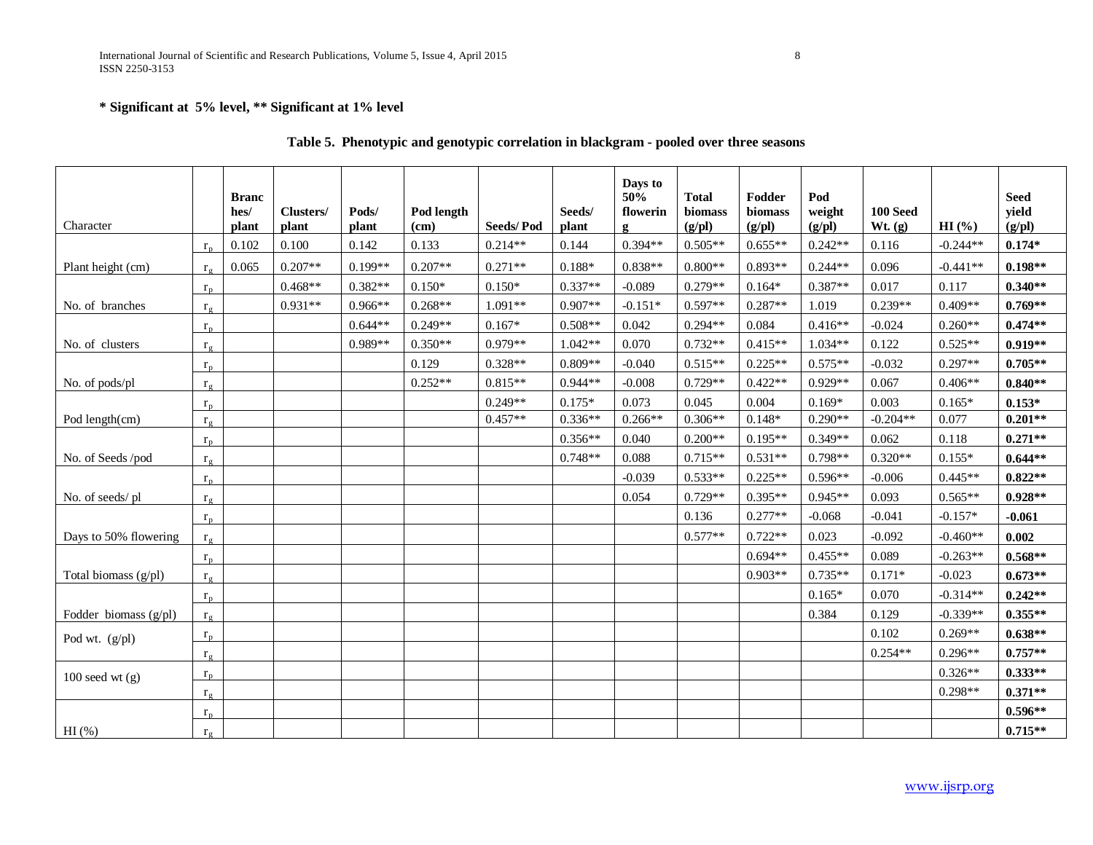International Journal of Scientific and Research Publications, Volume 5, Issue 4, April 2015 8 ISSN 2250-3153

## **\* Significant at 5% level, \*\* Significant at 1% level**

| Character             |              | <b>Branc</b><br>hes/<br>plant | Clusters/<br>plant | Pods/<br>plant | Pod length<br>(cm) | <b>Seeds/Pod</b> | Seeds/<br>plant | Days to<br>50%<br>flowerin<br>g | <b>Total</b><br>biomass<br>(g/pl) | Fodder<br>biomass<br>(g/pl) | Pod<br>weight<br>(g/pl) | <b>100 Seed</b><br>Wt. (g) | HI(%)      | <b>Seed</b><br>yield<br>(g/pl) |
|-----------------------|--------------|-------------------------------|--------------------|----------------|--------------------|------------------|-----------------|---------------------------------|-----------------------------------|-----------------------------|-------------------------|----------------------------|------------|--------------------------------|
|                       | $r_{p}$      | 0.102                         | 0.100              | 0.142          | 0.133              | $0.214**$        | 0.144           | $0.394**$                       | $0.505**$                         | $0.655**$                   | $0.242**$               | 0.116                      | $-0.244**$ | $0.174*$                       |
| Plant height (cm)     | $r_{\sigma}$ | 0.065                         | $0.207**$          | $0.199**$      | $0.207**$          | $0.271**$        | $0.188*$        | $0.838**$                       | $0.800**$                         | $0.893**$                   | $0.244**$               | 0.096                      | $-0.441**$ | $0.198**$                      |
|                       | $r_{\rm n}$  |                               | $0.468**$          | $0.382**$      | $0.150*$           | $0.150*$         | $0.337**$       | $-0.089$                        | $0.279**$                         | $0.164*$                    | $0.387**$               | 0.017                      | 0.117      | $0.340**$                      |
| No. of branches       | $r_{\sigma}$ |                               | $0.931**$          | $0.966**$      | $0.268**$          | $1.091**$        | $0.907**$       | $-0.151*$                       | $0.597**$                         | $0.287**$                   | 1.019                   | $0.239**$                  | $0.409**$  | $0.769**$                      |
|                       | $r_{p}$      |                               |                    | $0.644**$      | $0.249**$          | $0.167*$         | $0.508**$       | 0.042                           | $0.294**$                         | 0.084                       | $0.416**$               | $-0.024$                   | $0.260**$  | $0.474**$                      |
| No. of clusters       | $r_{\sigma}$ |                               |                    | $0.989**$      | $0.350**$          | $0.979**$        | $1.042**$       | 0.070                           | $0.732**$                         | $0.415**$                   | $1.034**$               | 0.122                      | $0.525**$  | $0.919**$                      |
|                       | $r_{p}$      |                               |                    |                | 0.129              | $0.328**$        | $0.809**$       | $-0.040$                        | $0.515**$                         | $0.225**$                   | $0.575**$               | $-0.032$                   | $0.297**$  | $0.705**$                      |
| No. of pods/pl        | $r_{\sigma}$ |                               |                    |                | $0.252**$          | $0.815**$        | $0.944**$       | $-0.008$                        | $0.729**$                         | $0.422**$                   | $0.929**$               | 0.067                      | $0.406**$  | $0.840**$                      |
|                       | $r_{p}$      |                               |                    |                |                    | $0.249**$        | $0.175*$        | 0.073                           | 0.045                             | 0.004                       | $0.169*$                | 0.003                      | $0.165*$   | $0.153*$                       |
| Pod length(cm)        | $r_{\rm g}$  |                               |                    |                |                    | $0.457**$        | $0.336**$       | $0.266**$                       | $0.306**$                         | $0.148*$                    | $0.290**$               | $-0.204**$                 | 0.077      | $0.201**$                      |
|                       | $r_{p}$      |                               |                    |                |                    |                  | $0.356**$       | 0.040                           | $0.200**$                         | $0.195**$                   | $0.349**$               | 0.062                      | 0.118      | $0.271**$                      |
| No. of Seeds /pod     | $r_g$        |                               |                    |                |                    |                  | $0.748**$       | 0.088                           | $0.715**$                         | $0.531**$                   | $0.798**$               | $0.320**$                  | $0.155*$   | $0.644**$                      |
|                       | $r_{p}$      |                               |                    |                |                    |                  |                 | $-0.039$                        | $0.533**$                         | $0.225**$                   | $0.596**$               | $-0.006$                   | $0.445**$  | $0.822**$                      |
| No. of seeds/pl       | $r_{\sigma}$ |                               |                    |                |                    |                  |                 | 0.054                           | $0.729**$                         | $0.395**$                   | $0.945**$               | 0.093                      | $0.565**$  | $0.928**$                      |
|                       | $r_{p}$      |                               |                    |                |                    |                  |                 |                                 | 0.136                             | $0.277**$                   | $-0.068$                | $-0.041$                   | $-0.157*$  | $-0.061$                       |
| Days to 50% flowering | $r_{\sigma}$ |                               |                    |                |                    |                  |                 |                                 | $0.577**$                         | $0.722**$                   | 0.023                   | $-0.092$                   | $-0.460**$ | 0.002                          |
|                       | $r_{\rm p}$  |                               |                    |                |                    |                  |                 |                                 |                                   | $0.694**$                   | $0.455**$               | 0.089                      | $-0.263**$ | $0.568**$                      |
| Total biomass (g/pl)  | $r_g$        |                               |                    |                |                    |                  |                 |                                 |                                   | $0.903**$                   | $0.735**$               | $0.171*$                   | $-0.023$   | $0.673**$                      |
|                       | $r_{\rm p}$  |                               |                    |                |                    |                  |                 |                                 |                                   |                             | $0.165*$                | 0.070                      | $-0.314**$ | $0.242**$                      |
| Fodder biomass (g/pl) | $r_{\sigma}$ |                               |                    |                |                    |                  |                 |                                 |                                   |                             | 0.384                   | 0.129                      | $-0.339**$ | $0.355**$                      |
|                       | $r_{\rm p}$  |                               |                    |                |                    |                  |                 |                                 |                                   |                             |                         | 0.102                      | $0.269**$  | $0.638**$                      |
| Pod wt. $(g/pl)$      | $r_{\sigma}$ |                               |                    |                |                    |                  |                 |                                 |                                   |                             |                         | $0.254**$                  | $0.296**$  | $0.757**$                      |
|                       | $r_{\rm p}$  |                               |                    |                |                    |                  |                 |                                 |                                   |                             |                         |                            | $0.326**$  | $0.333**$                      |
| $100$ seed wt $(g)$   | $r_{\sigma}$ |                               |                    |                |                    |                  |                 |                                 |                                   |                             |                         |                            | $0.298**$  | $0.371**$                      |
|                       | $r_{p}$      |                               |                    |                |                    |                  |                 |                                 |                                   |                             |                         |                            |            | $0.596**$                      |
| $HI$ (%)              | $r_{\sigma}$ |                               |                    |                |                    |                  |                 |                                 |                                   |                             |                         |                            |            | $0.715**$                      |

## **Table 5. Phenotypic and genotypic correlation in blackgram - pooled over three seasons**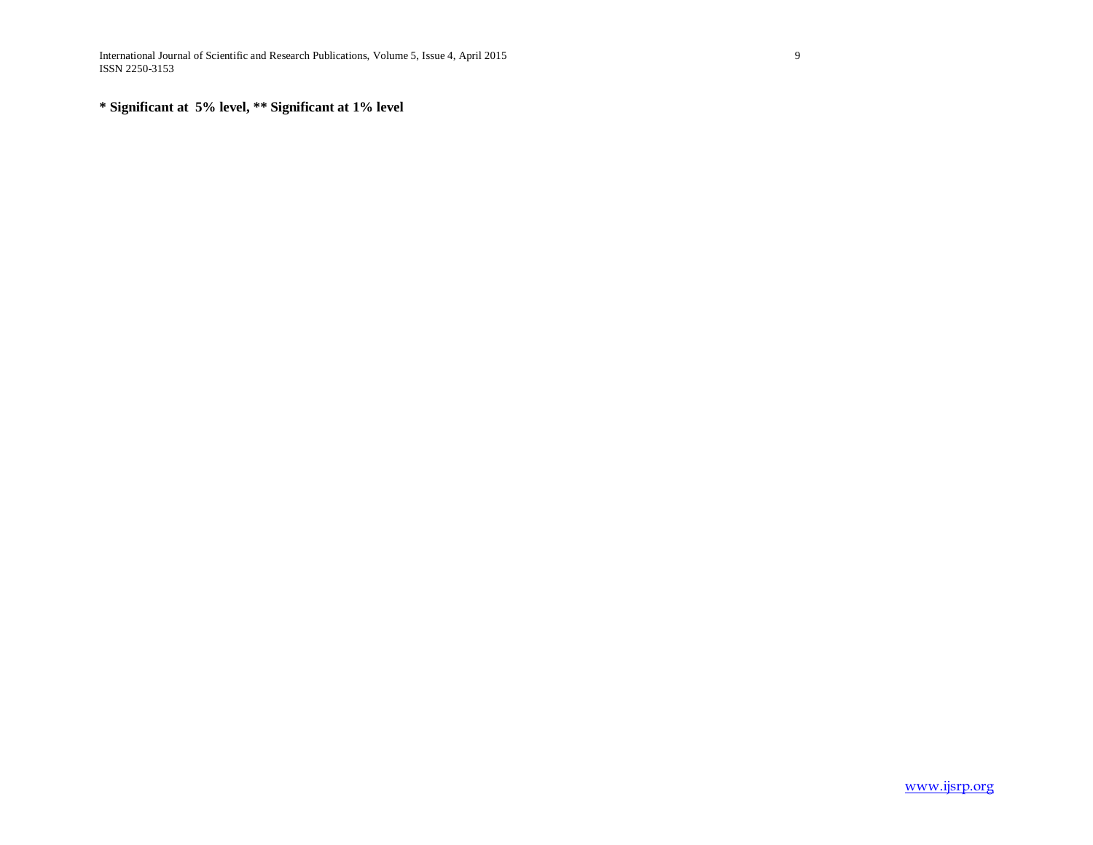International Journal of Scientific and Research Publications, Volume 5, Issue 4, April 2015 9 ISSN 2250-3153